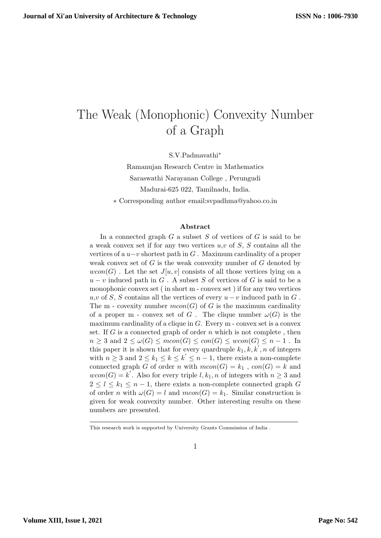# The Weak (Monophonic) Convexity Number of a Graph

S.V.Padmavathi<sup>∗</sup>

Ramanujan Research Centre in Mathematics Saraswathi Narayanan College , Perungudi Madurai-625 022, Tamilnadu, India. ∗ Corresponding author email:svpadhma@yahoo.co.in

#### Abstract

In a connected graph  $G$  a subset  $S$  of vertices of  $G$  is said to be a weak convex set if for any two vertices  $u, v$  of  $S, S$  contains all the vertices of a  $u-v$  shortest path in G. Maximum cardinality of a proper weak convex set of  $G$  is the weak convexity number of  $G$  denoted by  $wcon(G)$ . Let the set  $J[u, v]$  consists of all those vertices lying on a  $u - v$  induced path in G. A subset S of vertices of G is said to be a monophonic convex set ( in short m - convex set ) if for any two vertices  $u, v$  of S, S contains all the vertices of every  $u - v$  induced path in G. The m - covexity number  $mcon(G)$  of G is the maximum cardinality of a proper m - convex set of G. The clique number  $\omega(G)$  is the maximum cardinality of a clique in  $G$ . Every m - convex set is a convex set. If  $G$  is a connected graph of order  $n$  which is not complete, then  $n \geq 3$  and  $2 \leq \omega(G) \leq mcon(G) \leq con(G) \leq wcon(G) \leq n-1$ . In this paper it is shown that for every quardruple  $k_1, k, k', n$  of integers with  $n \geq 3$  and  $2 \leq k_1 \leq k \leq k' \leq n-1$ , there exists a non-complete connected graph G of order n with  $mcon(G) = k_1$ ,  $con(G) = k$  and  $wcon(G) = k^{'}$ . Also for every triple  $l, k_1, n$  of integers with  $n \geq 3$  and  $2 \leq l \leq k_1 \leq n-1$ , there exists a non-complete connected graph G of order n with  $\omega(G) = l$  and  $mcon(G) = k_1$ . Similar construction is given for weak convexity number. Other interesting results on these numbers are presented.

This research work is supported by University Grants Commission of India .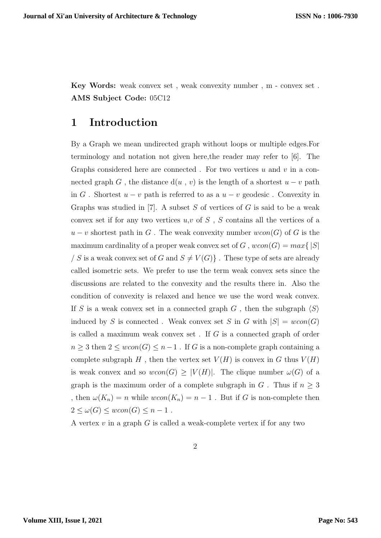Key Words: weak convex set , weak convexity number , m - convex set . AMS Subject Code: 05C12

### 1 Introduction

By a Graph we mean undirected graph without loops or multiple edges.For terminology and notation not given here,the reader may refer to [6]. The Graphs considered here are connected. For two vertices u and v in a connected graph G, the distance  $d(u, v)$  is the length of a shortest  $u - v$  path in G. Shortest  $u - v$  path is referred to as a  $u - v$  geodesic. Convexity in Graphs was studied in [7]. A subset  $S$  of vertices of  $G$  is said to be a weak convex set if for any two vertices  $u, v$  of  $S$ ,  $S$  contains all the vertices of a  $u - v$  shortest path in G. The weak convexity number  $wcon(G)$  of G is the maximum cardinality of a proper weak convex set of G,  $wcon(G) = max\{|S|$ / S is a weak convex set of G and  $S \neq V(G)$ . These type of sets are already called isometric sets. We prefer to use the term weak convex sets since the discussions are related to the convexity and the results there in. Also the condition of convexity is relaxed and hence we use the word weak convex. If S is a weak convex set in a connected graph G, then the subgraph  $\langle S \rangle$ induced by S is connected. Weak convex set S in G with  $|S| = wcon(G)$ is called a maximum weak convex set . If G is a connected graph of order  $n\geq 3$  then  $2\leq wcon(G)\leq n-1$  . If  $G$  is a non-complete graph containing a complete subgraph H, then the vertex set  $V(H)$  is convex in G thus  $V(H)$ is weak convex and so  $wcon(G) \geq |V(H)|$ . The clique number  $\omega(G)$  of a graph is the maximum order of a complete subgraph in G. Thus if  $n \geq 3$ , then  $\omega(K_n) = n$  while  $wcon(K_n) = n - 1$ . But if G is non-complete then  $2 \le \omega(G) \le wcon(G) \le n-1$ .

A vertex  $v$  in a graph  $G$  is called a weak-complete vertex if for any two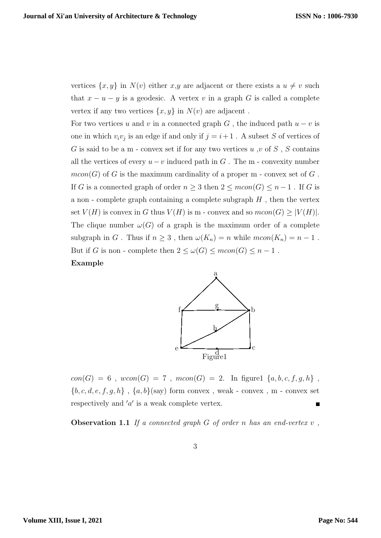vertices  $\{x, y\}$  in  $N(v)$  either  $x, y$  are adjacent or there exists a  $u \neq v$  such that  $x - u - y$  is a geodesic. A vertex v in a graph G is called a complete vertex if any two vertices  $\{x, y\}$  in  $N(v)$  are adjacent.

For two vertices u and v in a connected graph  $G$ , the induced path  $u - v$  is one in which  $v_i v_j$  is an edge if and only if  $j = i + 1$ . A subset S of vertices of G is said to be a m - convex set if for any two vertices  $u, v$  of  $S, S$  contains all the vertices of every  $u-v$  induced path in G. The m - convexity number  $mcon(G)$  of G is the maximum cardinality of a proper m - convex set of G. If G is a connected graph of order  $n \geq 3$  then  $2 \leq mcon(G) \leq n-1$ . If G is a non - complete graph containing a complete subgraph  $H$ , then the vertex set  $V(H)$  is convex in G thus  $V(H)$  is m - convex and so  $mcon(G) \geq |V(H)|$ . The clique number  $\omega(G)$  of a graph is the maximum order of a complete subgraph in G. Thus if  $n \geq 3$ , then  $\omega(K_n) = n$  while  $mcon(K_n) = n - 1$ . But if G is non - complete then  $2 \le \omega(G) \le mcon(G) \le n-1$ .

#### Example



 $con(G) = 6$ ,  $wcon(G) = 7$ ,  $mcon(G) = 2$ . In figure1  $\{a, b, c, f, g, h\}$ ,  ${b, c, d, e, f, g, h}$ ,  ${a, b}$ (say) form convex, weak - convex, m - convex set respectively and  $'a'$  is a weak complete vertex.

**Observation 1.1** If a connected graph  $G$  of order n has an end-vertex  $v$ ,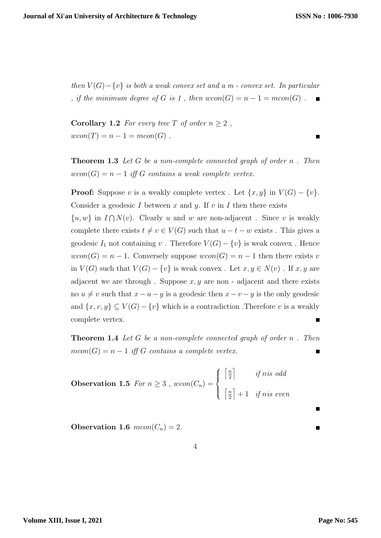$\blacksquare$ 

then  $V(G) - \{v\}$  is both a weak convex set and a m - convex set. In particular , if the minimum degree of G is 1, then  $wcon(G) = n - 1 = mcon(G)$ .  $\mathbf{r}$ 

**Corollary 1.2** For every tree T of order  $n \geq 2$ ,  $wcon(T) = n - 1 = mcon(G)$ .

**Theorem 1.3** Let G be a non-complete connected graph of order  $n$ . Then  $wcon(G) = n - 1$  iff G contains a weak complete vertex.

**Proof:** Suppose v is a weakly complete vertex . Let  $\{x, y\}$  in  $V(G) - \{v\}$ . Consider a geodesic  $I$  between  $x$  and  $y$ . If  $v$  in  $I$  then there exists

 $\{u, w\}$  in  $I \cap N(v)$ . Clearly u and w are non-adjacent. Since v is weakly complete there exists  $t \neq v \in V(G)$  such that  $u - t - w$  exists. This gives a geodesic  $I_1$  not containing v. Therefore  $V(G) - \{v\}$  is weak convex. Hence  $wcon(G) = n - 1$ . Conversely suppose  $wcon(G) = n - 1$  then there exists v in  $V(G)$  such that  $V(G) - \{v\}$  is weak convex. Let  $x, y \in N(v)$ . If  $x, y$  are adjacent we are through. Suppose  $x, y$  are non - adjacent and there exists no  $u \neq v$  such that  $x - u - y$  is a geodesic then  $x - v - y$  is the only geodesic and  $\{x, v, y\} \subseteq V(G) - \{v\}$  which is a contradiction. Therefore v is a weakly complete vertex.

**Theorem 1.4** Let G be a non-complete connected graph of order  $n$ . Then  $mcon(G) = n - 1$  iff G contains a complete vertex.  $\blacksquare$ 

**Observation 1.5** For 
$$
n \ge 3
$$
,  $wcon(C_n) = \begin{cases} \left\lceil \frac{n}{2} \right\rceil & \text{if n is odd} \\ \left\lceil \frac{n}{2} \right\rceil + 1 & \text{if n is even} \end{cases}$ 

Observation 1.6  $mcon(C_n) = 2$ .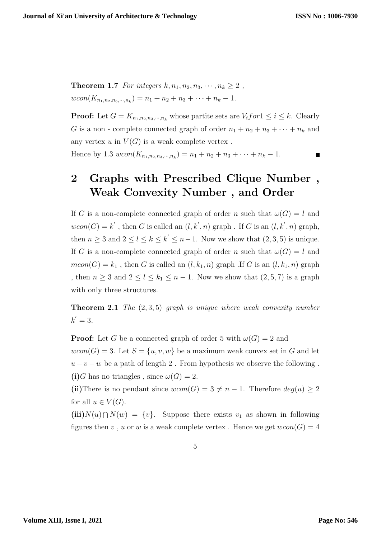**Theorem 1.7** For integers  $k, n_1, n_2, n_3, \cdots, n_k \geq 2$ ,  $wcon(K_{n_1,n_2,n_3,\dots,n_k}) = n_1 + n_2 + n_3 + \dots + n_k - 1.$ 

**Proof:** Let  $G = K_{n_1, n_2, n_3, \cdots, n_k}$  whose partite sets are  $V_i$  for  $1 \le i \le k$ . Clearly G is a non-complete connected graph of order  $n_1 + n_2 + n_3 + \cdots + n_k$  and any vertex u in  $V(G)$  is a weak complete vertex.

Hence by 1.3  $wcon(K_{n_1,n_2,n_3,\dots,n_k}) = n_1 + n_2 + n_3 + \dots + n_k - 1$ .

# 2 Graphs with Prescribed Clique Number , Weak Convexity Number , and Order

If G is a non-complete connected graph of order n such that  $\omega(G) = l$  and  $wcon(G) = k'$ , then G is called an  $(l, k', n)$  graph. If G is an  $(l, k', n)$  graph, then  $n \geq 3$  and  $2 \leq l \leq k \leq k' \leq n-1$ . Now we show that  $(2,3,5)$  is unique. If G is a non-complete connected graph of order n such that  $\omega(G) = l$  and  $mcon(G) = k_1$ , then G is called an  $(l, k_1, n)$  graph .If G is an  $(l, k_1, n)$  graph , then  $n \geq 3$  and  $2 \leq l \leq k_1 \leq n-1$ . Now we show that  $(2,5,7)$  is a graph with only three structures.

**Theorem 2.1** The  $(2, 3, 5)$  graph is unique where weak convexity number  $k' = 3$ .

**Proof:** Let G be a connected graph of order 5 with  $\omega(G) = 2$  and  $wcon(G) = 3$ . Let  $S = \{u, v, w\}$  be a maximum weak convex set in G and let  $u - v - w$  be a path of length 2. From hypothesis we observe the following. (i)G has no triangles, since  $\omega(G) = 2$ .

(ii)There is no pendant since  $wcon(G) = 3 \neq n - 1$ . Therefore  $deg(u) \geq 2$ for all  $u \in V(G)$ .

 $(iii)N(u)\cap N(w) = \{v\}.$  Suppose there exists  $v_1$  as shown in following figures then v, u or w is a weak complete vertex. Hence we get  $wcon(G) = 4$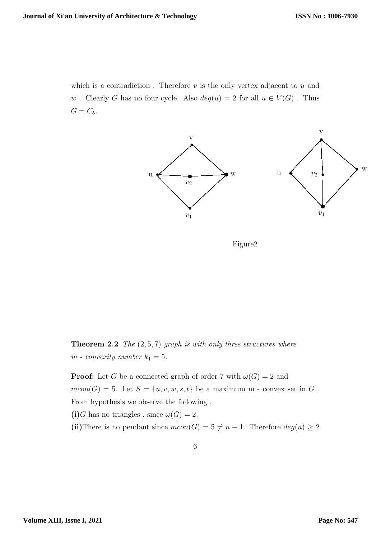which is a contradiction. Therefore  $v$  is the only vertex adjacent to  $u$  and w. Clearly G has no four cycle. Also  $deg(u) = 2$  for all  $u \in V(G)$ . Thus  $G = C_5.$ 



Figure2

**Theorem 2.2** The  $(2, 5, 7)$  graph is with only three structures where  $m$  - convexity number  $k_1 = 5$ .

**Proof:** Let G be a connected graph of order 7 with  $\omega(G) = 2$  and  $mcon(G) = 5$ . Let  $S = \{u, v, w, s, t\}$  be a maximum m - convex set in G. From hypothesis we observe the following .

(i)G has no triangles, since  $\omega(G) = 2$ .

(ii)There is no pendant since  $mcon(G) = 5 \neq n - 1$ . Therefore  $deg(u) \geq 2$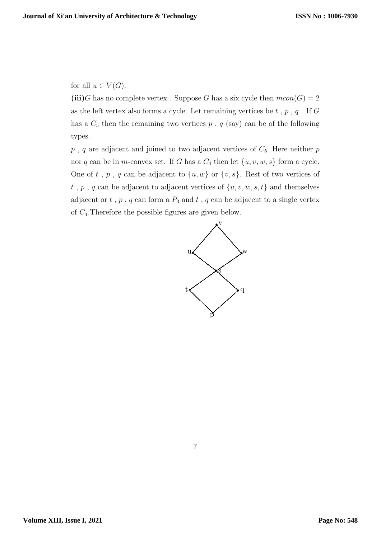for all  $u \in V(G)$ .

(iii)G has no complete vertex. Suppose G has a six cycle then  $mcon(G) = 2$ as the left vertex also forms a cycle. Let remaining vertices be  $t$ ,  $p$ ,  $q$ . If  $G$ has a  $C_5$  then the remaining two vertices  $p$ ,  $q$  (say) can be of the following types.

 $p$ , q are adjacent and joined to two adjacent vertices of  $C_5$ . Here neither  $p$ nor q can be in m-convex set. If G has a  $C_4$  then let  $\{u, v, w, s\}$  form a cycle. One of t, p, q can be adjacent to  $\{u, w\}$  or  $\{v, s\}$ . Rest of two vertices of  $t$ ,  $p$ ,  $q$  can be adjacent to adjacent vertices of  $\{u, v, w, s, t\}$  and themselves adjacent or  $t$ ,  $p$ ,  $q$  can form a  $P_3$  and  $t$ ,  $q$  can be adjacent to a single vertex of  $C_4$ . Therefore the possible figures are given below.

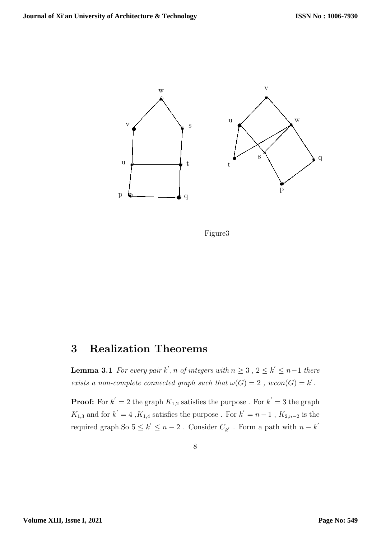

Figure3

## 3 Realization Theorems

**Lemma 3.1** For every pair  $k'$ , n of integers with  $n \geq 3$ ,  $2 \leq k' \leq n-1$  there exists a non-complete connected graph such that  $\omega(G) = 2$ ,  $wcon(G) = k'$ .

**Proof:** For  $k' = 2$  the graph  $K_{1,2}$  satisfies the purpose . For  $k' = 3$  the graph  $K_{1,3}$  and for  $k' = 4$ ,  $K_{1,4}$  satisfies the purpose. For  $k' = n - 1$ ,  $K_{2,n-2}$  is the required graph.<br>So  $5\leq k^{'}\leq n-2$  . Consider  $C_{k^{'}}$  . Form a path with<br>  $n-k^{'}$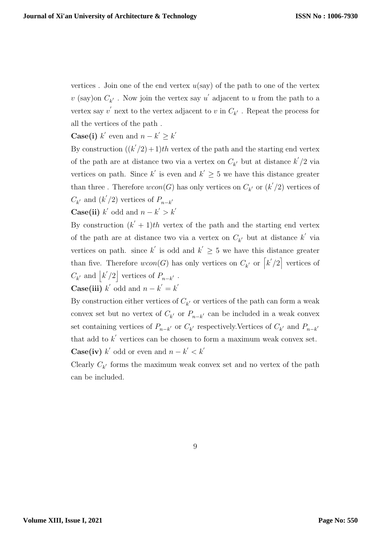vertices. Join one of the end vertex  $u(say)$  of the path to one of the vertex  $v$  (say)on  $C_{k'}$ . Now join the vertex say  $u'$  adjacent to  $u$  from the path to a vertex say  $v'$  next to the vertex adjacent to  $v$  in  $C_{k'}$  . Repeat the process for all the vertices of the path .

#### **Case(i)**  $k'$  even and  $n - k' \geq k'$

By construction  $((k'/2) + 1)th$  vertex of the path and the starting end vertex of the path are at distance two via a vertex on  $C_{k'}$  but at distance  $k'/2$  via vertices on path. Since k' is even and  $k' \geq 5$  we have this distance greater than three. Therefore  $wcon(G)$  has only vertices on  $C_{k'}$  or  $(k'/2)$  vertices of  $C_{k'}$  and  $(k'/2)$  vertices of  $P_{n-k'}$ 

**Case(ii)**  $k'$  odd and  $n - k' > k'$ 

By construction  $(k' + 1)$ th vertex of the path and the starting end vertex of the path are at distance two via a vertex on  $C_{k'}$  but at distance  $k'$  via vertices on path. since k' is odd and  $k' \geq 5$  we have this distance greater than five. Therefore  $wcon(G)$  has only vertices on  $C_{k'}$  or  $\lceil k'/2 \rceil$  vertices of  $C_{k'}$  and  $|k'/2|$  vertices of  $P_{n-k'}$ . **Case(iii)**  $k'$  odd and  $n - k' = k'$ 

By construction either vertices of  $C_{k'}$  or vertices of the path can form a weak convex set but no vertex of  $C_{k'}$  or  $P_{n-k'}$  can be included in a weak convex set containing vertices of  $P_{n-k'}$  or  $C_{k'}$  respectively. Vertices of  $C_{k'}$  and  $P_{n-k'}$ that add to  $k'$  vertices can be chosen to form a maximum weak convex set. **Case(iv)**  $k'$  odd or even and  $n - k' < k'$ 

Clearly  $C_{k'}$  forms the maximum weak convex set and no vertex of the path can be included.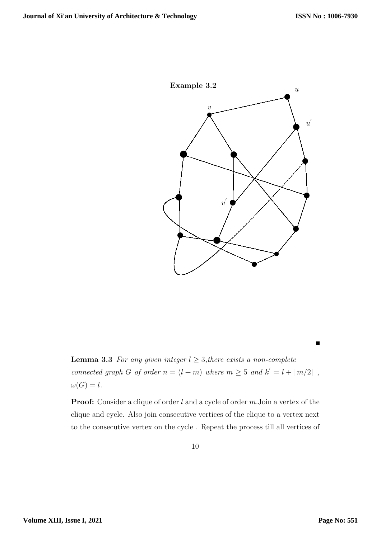

**Lemma 3.3** For any given integer  $l \geq 3$ , there exists a non-complete connected graph G of order  $n = (l + m)$  where  $m \geq 5$  and  $k' = l + \lceil m/2 \rceil$ ,  $\omega(G) = l.$ 

**Proof:** Consider a clique of order  $l$  and a cycle of order  $m$ . Join a vertex of the clique and cycle. Also join consecutive vertices of the clique to a vertex next to the consecutive vertex on the cycle . Repeat the process till all vertices of

 $\blacksquare$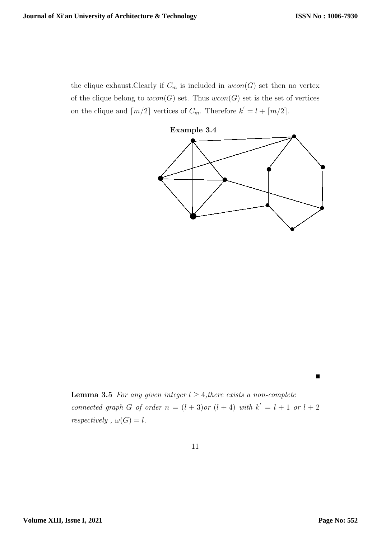the clique exhaust.Clearly if  $C_m$  is included in  $wcon(G)$  set then no vertex of the clique belong to  $wcon(G)$  set. Thus  $wcon(G)$  set is the set of vertices on the clique and  $\lceil m/2 \rceil$  vertices of  $C_m$ . Therefore  $k' = l + \lceil m/2 \rceil$ .



**Lemma 3.5** For any given integer  $l \geq 4$ , there exists a non-complete connected graph G of order  $n = (l + 3)$  or  $(l + 4)$  with  $k' = l + 1$  or  $l + 2$ *respectively* ,  $\omega(G) = l$ .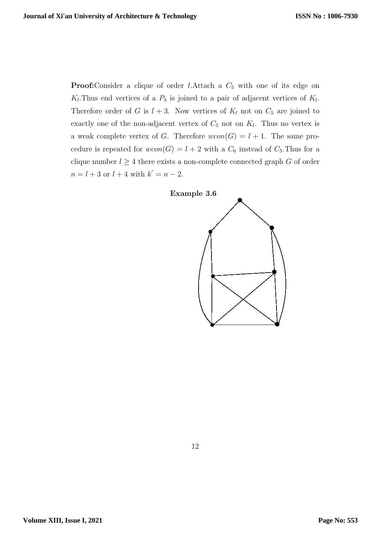**Proof:**Consider a clique of order *l*.Attach a  $C_5$  with one of its edge on  $K_l$ . Thus end vertices of a  $P_3$  is joined to a pair of adjacent vertices of  $K_l$ . Therefore order of G is  $l + 3$ . Now vertices of  $K_l$  not on  $C_5$  are joined to exactly one of the non-adjacent vertex of  $C_5$  not on  $K_l$ . Thus no vertex is a weak complete vertex of G. Therefore  $wcon(G) = l + 1$ . The same procedure is repeated for  $wcon(G) = l + 2$  with a  $C_6$  instead of  $C_5$ . Thus for a clique number  $l \geq 4$  there exists a non-complete connected graph G of order  $n = l + 3$  or  $l + 4$  with  $k' = n - 2$ .

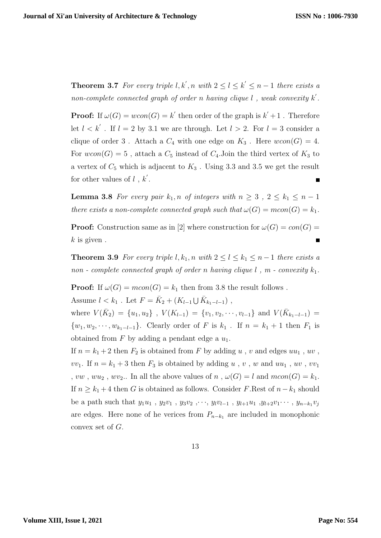**Theorem 3.7** For every triple  $l, k', n$  with  $2 \le l \le k' \le n-1$  there exists a non-complete connected graph of order n having clique  $l$ , weak convexity  $k'$ .

**Proof:** If  $\omega(G) = wcon(G) = k'$  then order of the graph is  $k' + 1$ . Therefore let  $l < k'$ . If  $l = 2$  by 3.1 we are through. Let  $l > 2$ . For  $l = 3$  consider a clique of order 3. Attach a  $C_4$  with one edge on  $K_3$ . Here  $wcon(G) = 4$ . For  $wcon(G) = 5$ , attach a  $C_5$  instead of  $C_4$ . Join the third vertex of  $K_3$  to a vertex of  $C_5$  which is adjacent to  $K_3$ . Using 3.3 and 3.5 we get the result for other values of  $l$ ,  $k'$ .

**Lemma 3.8** For every pair  $k_1$ , n of integers with  $n \geq 3$ ,  $2 \leq k_1 \leq n-1$ there exists a non-complete connected graph such that  $\omega(G) = mcon(G) = k_1$ .

**Proof:** Construction same as in [2] where construction for  $\omega(G) = con(G)$  $k$  is given.

**Theorem 3.9** For every triple l,  $k_1$ , n with  $2 \leq l \leq k_1 \leq n-1$  there exists a non - complete connected graph of order n having clique  $l$ ,  $m$  - convexity  $k_1$ .

**Proof:** If  $\omega(G) = mcon(G) = k_1$  then from 3.8 the result follows.

Assume  $l < k_1$ . Let  $F = \bar{K}_2 + (K_{l-1} \cup \bar{K}_{k_1-l-1})$ ,

where  $V(\bar{K}_2) = \{u_1, u_2\}$ ,  $V(K_{l-1}) = \{v_1, v_2, \dots, v_{l-1}\}$  and  $V(\bar{K}_{k_1-l-1}) =$  $\{w_1, w_2, \cdots, w_{k_1-l-1}\}.$  Clearly order of F is  $k_1$ . If  $n = k_1 + 1$  then  $F_1$  is obtained from  $F$  by adding a pendant edge a  $u_1$ .

If  $n = k_1 + 2$  then  $F_2$  is obtained from F by adding u, v and edges  $uu_1$ , uv,  $vv_1$ . If  $n = k_1 + 3$  then  $F_3$  is obtained by adding u, v, w and uu<sub>1</sub>, uv, vv<sub>1</sub> , vw, wu<sub>2</sub>, wv<sub>2</sub>.. In all the above values of n,  $\omega(G) = l$  and  $mcon(G) = k_1$ . If  $n \geq k_1 + 4$  then G is obtained as follows. Consider F.Rest of  $n-k_1$  should be a path such that  $y_1u_1$ ,  $y_2v_1$ ,  $y_3v_2$ ,  $\dots$ ,  $y_lv_{l-1}$ ,  $y_{l+1}u_1$ ,  $y_{l+2}v_1\dots$ ,  $y_{n-k_1}v_j$ are edges. Here none of he verices from  $P_{n-k_1}$  are included in monophonic convex set of G.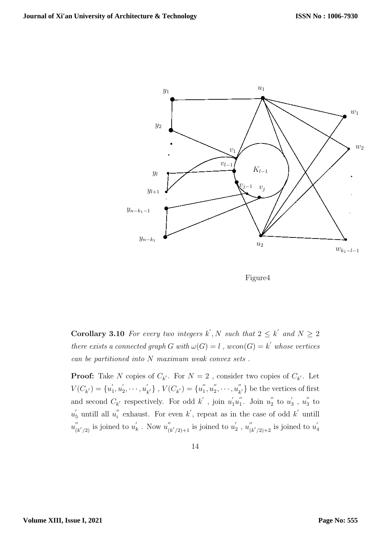



**Corollary 3.10** For every two integers k', N such that  $2 \leq k'$  and  $N \geq 2$ there exists a connected graph G with  $\omega(G) = l$ ,  $wcon(G) = k'$  whose vertices can be partitioned into N maximum weak convex sets .

**Proof:** Take N copies of  $C_{k'}$ . For  $N = 2$ , consider two copies of  $C_{k'}$ . Let  $V(C_{k'}) = \{u'_1\}$  $y'_{1}, u'_{2}$  $v_2',\cdots,u_p'$  $\{C_{k'}\}, V(C_{k'}) = \{u_1''\}$  $u_1'', u_2''$  $u_2'',\cdots,u_k''$  $\binom{n}{k'}$  be the vertices of first and second  $C_{k'}$  respectively. For odd  $k'$ , join  $u'_1u''_1$ ". Join  $u_2$ "  $\frac{\pi}{2}$  to  $u'_3$  $u_3'$ ,  $u_3''$  $\frac{7}{3}$  to  $u_5^{'}$  untill all  $u_i^{''}$  $i'$  exhaust. For even k', repeat as in the case of odd k' untill  $u_{\ell}^{''}$  $\int_{(k'/2)}'$  is joined to  $u'_k$  $u_k'$ . Now  $u_l''$  $\int_{(k'/2)+1}^{\prime\prime}$  is joined to  $u_2'$  $v_2'$ ,  $u_0''$  $\int_{(k'/2)+2}^{\prime\prime}$  is joined to  $u_{k}'$ 4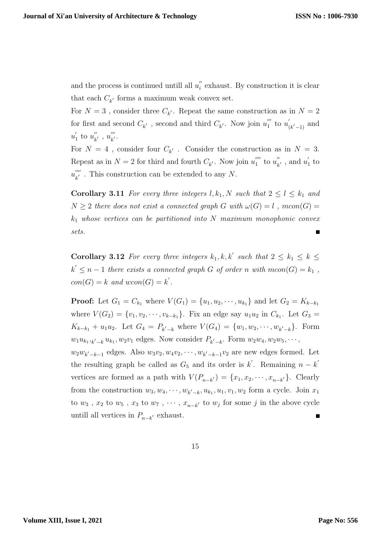and the process is continued untill all  $u_i''$  $i$ <sup> $'$ </sup> exhaust. By construction it is clear that each  $C_{k'}$  forms a maximum weak convex set.

For  $N=3$ , consider three  $C_{k'}$ . Repeat the same construction as in  $N=2$ for first and second  $C_{k^{'}}$ , second and third  $C_{k^{'}}$ . Now join  $u_1^{'''}$  $\int_{1}^{m}$  to  $u'_{0}$  $\int_{(k'-1)}$  and  $u'$  $\frac{'}{1}$  to  $u_k^{''}$  $u_{k}^{''}, u_{k'}^{'''}$  $\frac{m}{k'}$ .

For  $N = 4$ , consider four  $C_{k'}$ . Consider the construction as in  $N = 3$ . Repeat as in  $N = 2$  for third and fourth  $C_{k'}$ . Now join  $u_1^{''''}$  $\int_{1}^{\prime\prime\prime}$  to  $u_{k}^{''}$  $\frac{u}{k'}$ , and  $u'$  $\frac{1}{1}$  to  $u_{\nu}^{^{\prime\prime\prime\prime}}$  $\frac{d}{k'}$ . This construction can be extended to any N.

**Corollary 3.11** For every three integers  $l, k_1, N$  such that  $2 \leq l \leq k_1$  and  $N \geq 2$  there does not exist a connected graph G with  $\omega(G) = l$ ,  $mcon(G) =$  $k_1$  whose vertices can be partitioned into N maximum monophonic convex sets.  $\blacksquare$ 

**Corollary 3.12** For every three integers  $k_1, k, k'$  such that  $2 \leq k_1 \leq k \leq k_2$  $k' \leq n-1$  there exists a connected graph G of order n with  $mcon(G) = k_1$ ,  $con(G) = k$  and  $wcon(G) = k'$ .

**Proof:** Let  $G_1 = C_{k_1}$  where  $V(G_1) = \{u_1, u_2, \dots, u_{k_1}\}\$  and let  $G_2 = K_{k-k_1}$ where  $V(G_2) = \{v_1, v_2, \dots, v_{k-k_1}\}\.$  Fix an edge say  $u_1u_2$  in  $C_{k_1}$ . Let  $G_3$  =  $K_{k-k_1} + u_1 u_2$ . Let  $G_4 = P_{k'-k}$  where  $V(G_4) = \{w_1, w_2, \dots, w_{k'-k}\}$ . Form  $w_1 u_{k_1, k' - k} u_{k_1}, w_2 v_1$  edges. Now consider  $P_{k' - k}$ . Form  $w_2 w_4, w_2 w_5, \cdots$ ,  $w_2w_{k'-k-1}$  edges. Also  $w_3v_2, w_4v_2, \dots, w_{k'-k-1}v_2$  are new edges formed. Let the resulting graph be called as  $G_5$  and its order is k'. Remaining  $n - k'$ vertices are formed as a path with  $V(P_{n-k'}) = \{x_1, x_2, \dots, x_{n-k'}\}$ . Clearly from the construction  $w_3, w_4, \dots, w_{k'-k}, u_{k_1}, u_1, v_1, w_2$  form a cycle. Join  $x_1$ to  $w_3$ ,  $x_2$  to  $w_5$ ,  $x_3$  to  $w_7$ ,  $\dots$ ,  $x_{n-k'}$  to  $w_j$  for some j in the above cycle untill all vertices in  $P_{n-k'}$  exhaust.